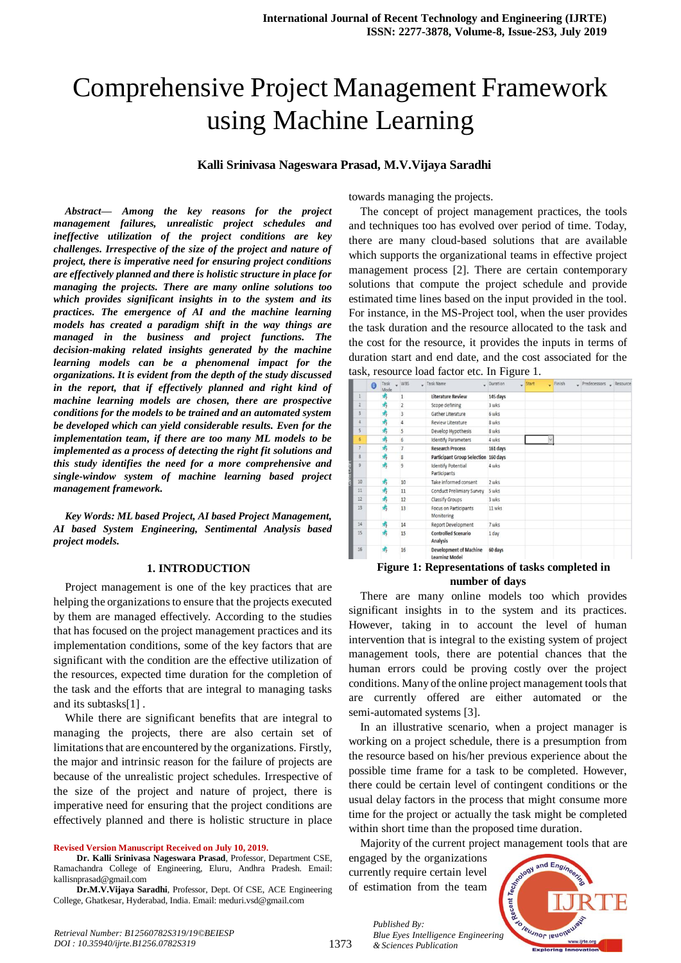# Comprehensive Project Management Framework using Machine Learning

#### **Kalli Srinivasa Nageswara Prasad, M.V.Vijaya Saradhi**

*Abstract***—** *Among the key reasons for the project management failures, unrealistic project schedules and ineffective utilization of the project conditions are key challenges. Irrespective of the size of the project and nature of project, there is imperative need for ensuring project conditions are effectively planned and there is holistic structure in place for managing the projects. There are many online solutions too which provides significant insights in to the system and its practices. The emergence of AI and the machine learning models has created a paradigm shift in the way things are managed in the business and project functions. The decision-making related insights generated by the machine learning models can be a phenomenal impact for the organizations. It is evident from the depth of the study discussed in the report, that if effectively planned and right kind of machine learning models are chosen, there are prospective conditions for the models to be trained and an automated system be developed which can yield considerable results. Even for the implementation team, if there are too many ML models to be implemented as a process of detecting the right fit solutions and this study identifies the need for a more comprehensive and single-window system of machine learning based project management framework.*

*Key Words: ML based Project, AI based Project Management, AI based System Engineering, Sentimental Analysis based project models.*

#### **1. INTRODUCTION**

Project management is one of the key practices that are helping the organizations to ensure that the projects executed by them are managed effectively. According to the studies that has focused on the project management practices and its implementation conditions, some of the key factors that are significant with the condition are the effective utilization of the resources, expected time duration for the completion of the task and the efforts that are integral to managing tasks and its subtasks[1] .

While there are significant benefits that are integral to managing the projects, there are also certain set of limitations that are encountered by the organizations. Firstly, the major and intrinsic reason for the failure of projects are because of the unrealistic project schedules. Irrespective of the size of the project and nature of project, there is imperative need for ensuring that the project conditions are effectively planned and there is holistic structure in place

#### **Revised Version Manuscript Received on July 10, 2019.**

**Dr. Kalli Srinivasa Nageswara Prasad**, Professor, Department CSE, Ramachandra College of Engineering, Eluru, Andhra Pradesh. Email: kallisnprasad@gmail.com

**Dr.M.V.Vijaya Saradhi**, Professor, Dept. Of CSE, ACE Engineering College, Ghatkesar, Hyderabad, India. Email: meduri.vsd@gmail.com

towards managing the projects.

The concept of project management practices, the tools and techniques too has evolved over period of time. Today, there are many cloud-based solutions that are available which supports the organizational teams in effective project management process [2]. There are certain contemporary solutions that compute the project schedule and provide estimated time lines based on the input provided in the tool. For instance, in the MS-Project tool, when the user provides the task duration and the resource allocated to the task and the cost for the resource, it provides the inputs in terms of duration start and end date, and the cost associated for the task, resource load factor etc. In Figure 1.

|                    | $\mathbf{a}$              | Task<br>Mode | $-WBS$         | - Task Name                                            | - Duration | $\frac{1}{2}$ Start<br>$\overline{\phantom{0}}$ | Finish | Predecessors Resource |  |
|--------------------|---------------------------|--------------|----------------|--------------------------------------------------------|------------|-------------------------------------------------|--------|-----------------------|--|
|                    |                           | 肃            | $\mathbf{1}$   | <b>Literature Review</b>                               | 145 days   |                                                 |        |                       |  |
|                    | $\overline{2}$            | 虏            | $\overline{2}$ | Scope defining                                         | 3 wks      |                                                 |        |                       |  |
|                    | $\overline{\overline{3}}$ | 虏            | $\overline{3}$ | Gather Literature                                      | 6 wks      |                                                 |        |                       |  |
|                    | 4                         | 肃            | $\overline{4}$ | Review Literature                                      | 8 wks      |                                                 |        |                       |  |
|                    | 5                         | 肃            | 5              | Develop Hypothesis                                     | 8 wks      |                                                 |        |                       |  |
|                    | 6                         | 肃            | 6              | <b>Identify Parameters</b>                             | 4 wks      |                                                 |        |                       |  |
|                    | 7                         | 虏            | $\overline{7}$ | <b>Research Process</b>                                | 161 days   |                                                 |        |                       |  |
|                    | 8                         | 虏            | 8              | Participant Group Selection 160 days                   |            |                                                 |        |                       |  |
| <b>TRID 21 DEF</b> | $\overline{9}$            | 肃            | $\overline{9}$ | <b>Identify Potential</b><br>Participants              | 4 wks      |                                                 |        |                       |  |
|                    | 10                        | 肃            | 10             | Take informed consent                                  | 2 wks      |                                                 |        |                       |  |
|                    | 11                        | 虏            | 11             | <b>Conduct Prelimiary Survey</b>                       | 5 wks      |                                                 |        |                       |  |
|                    | 12                        | 虏            | 12             | Classify Groups                                        | 3 wks      |                                                 |        |                       |  |
|                    | 13                        | 虏            | 13             | <b>Focus on Participants</b><br>Monitoring             | 11 wks     |                                                 |        |                       |  |
|                    | 14                        | 肃            | 14             | <b>Report Development</b>                              | 7 wks      |                                                 |        |                       |  |
|                    | 15                        | 虏            | 15             | <b>Controlled Scenario</b><br><b>Analysis</b>          | 1 day      |                                                 |        |                       |  |
|                    | 16                        | 虏            | 16             | <b>Development of Machine</b><br><b>Learning Model</b> | 60 days    |                                                 |        |                       |  |

# **Figure 1: Representations of tasks completed in number of days**

There are many online models too which provides significant insights in to the system and its practices. However, taking in to account the level of human intervention that is integral to the existing system of project management tools, there are potential chances that the human errors could be proving costly over the project conditions. Many of the online project management tools that are currently offered are either automated or the semi-automated systems [3].

In an illustrative scenario, when a project manager is working on a project schedule, there is a presumption from the resource based on his/her previous experience about the possible time frame for a task to be completed. However, there could be certain level of contingent conditions or the usual delay factors in the process that might consume more time for the project or actually the task might be completed within short time than the proposed time duration.

Majority of the current project management tools that are engaged by the organizations currently require certain level of estimation from the team

*Published By:*

*& Sciences Publication* 

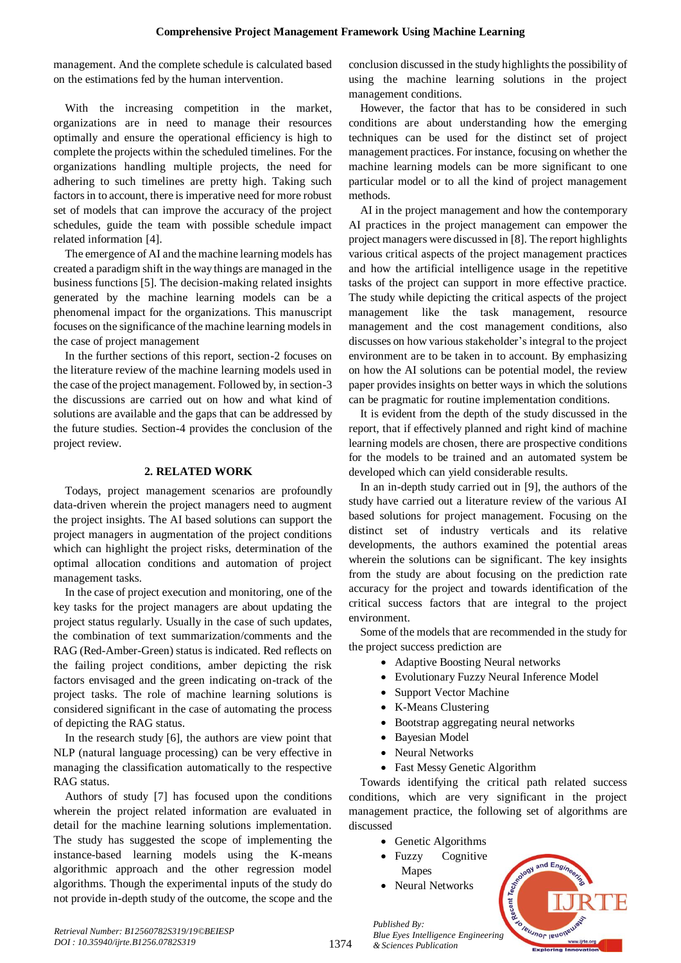management. And the complete schedule is calculated based on the estimations fed by the human intervention.

With the increasing competition in the market, organizations are in need to manage their resources optimally and ensure the operational efficiency is high to complete the projects within the scheduled timelines. For the organizations handling multiple projects, the need for adhering to such timelines are pretty high. Taking such factors in to account, there is imperative need for more robust set of models that can improve the accuracy of the project schedules, guide the team with possible schedule impact related information [4].

The emergence of AI and the machine learning models has created a paradigm shift in the way things are managed in the business functions [5]. The decision-making related insights generated by the machine learning models can be a phenomenal impact for the organizations. This manuscript focuses on the significance of the machine learning models in the case of project management

In the further sections of this report, section-2 focuses on the literature review of the machine learning models used in the case of the project management. Followed by, in section-3 the discussions are carried out on how and what kind of solutions are available and the gaps that can be addressed by the future studies. Section-4 provides the conclusion of the project review.

### **2. RELATED WORK**

Todays, project management scenarios are profoundly data-driven wherein the project managers need to augment the project insights. The AI based solutions can support the project managers in augmentation of the project conditions which can highlight the project risks, determination of the optimal allocation conditions and automation of project management tasks.

In the case of project execution and monitoring, one of the key tasks for the project managers are about updating the project status regularly. Usually in the case of such updates, the combination of text summarization/comments and the RAG (Red-Amber-Green) status is indicated. Red reflects on the failing project conditions, amber depicting the risk factors envisaged and the green indicating on-track of the project tasks. The role of machine learning solutions is considered significant in the case of automating the process of depicting the RAG status.

In the research study [6], the authors are view point that NLP (natural language processing) can be very effective in managing the classification automatically to the respective RAG status.

Authors of study [7] has focused upon the conditions wherein the project related information are evaluated in detail for the machine learning solutions implementation. The study has suggested the scope of implementing the instance-based learning models using the K-means algorithmic approach and the other regression model algorithms. Though the experimental inputs of the study do not provide in-depth study of the outcome, the scope and the conclusion discussed in the study highlights the possibility of using the machine learning solutions in the project management conditions.

However, the factor that has to be considered in such conditions are about understanding how the emerging techniques can be used for the distinct set of project management practices. For instance, focusing on whether the machine learning models can be more significant to one particular model or to all the kind of project management methods.

AI in the project management and how the contemporary AI practices in the project management can empower the project managers were discussed in [8]. The report highlights various critical aspects of the project management practices and how the artificial intelligence usage in the repetitive tasks of the project can support in more effective practice. The study while depicting the critical aspects of the project management like the task management, resource management and the cost management conditions, also discusses on how various stakeholder's integral to the project environment are to be taken in to account. By emphasizing on how the AI solutions can be potential model, the review paper provides insights on better ways in which the solutions can be pragmatic for routine implementation conditions.

It is evident from the depth of the study discussed in the report, that if effectively planned and right kind of machine learning models are chosen, there are prospective conditions for the models to be trained and an automated system be developed which can yield considerable results.

In an in-depth study carried out in [9], the authors of the study have carried out a literature review of the various AI based solutions for project management. Focusing on the distinct set of industry verticals and its relative developments, the authors examined the potential areas wherein the solutions can be significant. The key insights from the study are about focusing on the prediction rate accuracy for the project and towards identification of the critical success factors that are integral to the project environment.

Some of the models that are recommended in the study for the project success prediction are

- Adaptive Boosting Neural networks
- Evolutionary Fuzzy Neural Inference Model
- Support Vector Machine
- K-Means Clustering
- Bootstrap aggregating neural networks
- Bayesian Model
- Neural Networks
- Fast Messy Genetic Algorithm

Towards identifying the critical path related success conditions, which are very significant in the project management practice, the following set of algorithms are discussed

- Genetic Algorithms
- Fuzzy Cognitive Mapes
- Neural Networks

*Published By:*

*& Sciences Publication* 

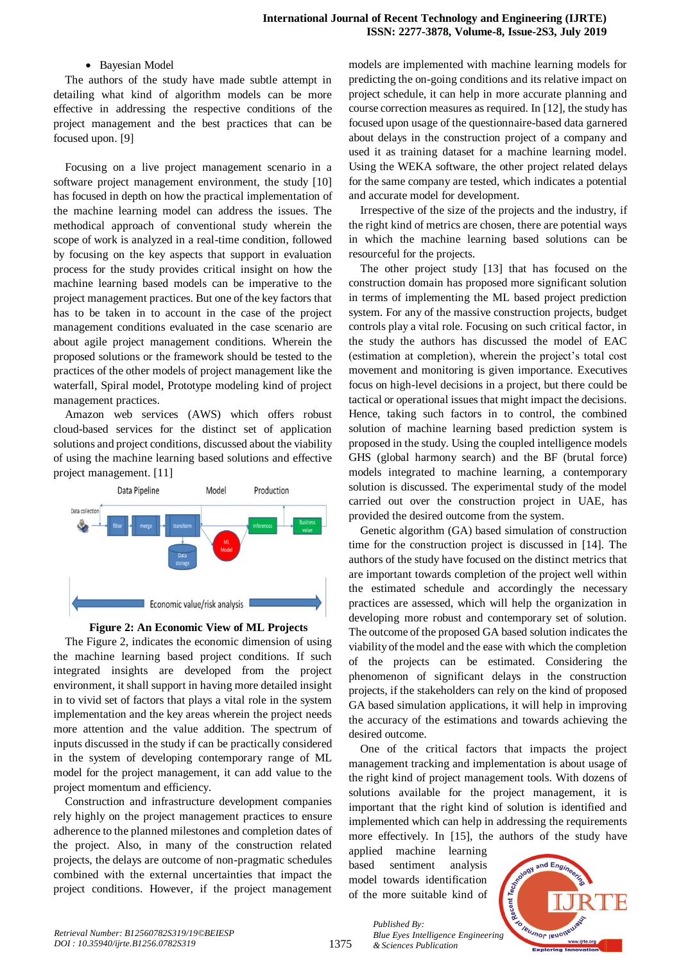### • Bayesian Model

The authors of the study have made subtle attempt in detailing what kind of algorithm models can be more effective in addressing the respective conditions of the project management and the best practices that can be focused upon. [9]

Focusing on a live project management scenario in a software project management environment, the study [10] has focused in depth on how the practical implementation of the machine learning model can address the issues. The methodical approach of conventional study wherein the scope of work is analyzed in a real-time condition, followed by focusing on the key aspects that support in evaluation process for the study provides critical insight on how the machine learning based models can be imperative to the project management practices. But one of the key factors that has to be taken in to account in the case of the project management conditions evaluated in the case scenario are about agile project management conditions. Wherein the proposed solutions or the framework should be tested to the practices of the other models of project management like the waterfall, Spiral model, Prototype modeling kind of project management practices.

Amazon web services (AWS) which offers robust cloud-based services for the distinct set of application solutions and project conditions, discussed about the viability of using the machine learning based solutions and effective project management. [11]





The Figure 2, indicates the economic dimension of using the machine learning based project conditions. If such integrated insights are developed from the project environment, it shall support in having more detailed insight in to vivid set of factors that plays a vital role in the system implementation and the key areas wherein the project needs more attention and the value addition. The spectrum of inputs discussed in the study if can be practically considered in the system of developing contemporary range of ML model for the project management, it can add value to the project momentum and efficiency.

Construction and infrastructure development companies rely highly on the project management practices to ensure adherence to the planned milestones and completion dates of the project. Also, in many of the construction related projects, the delays are outcome of non-pragmatic schedules combined with the external uncertainties that impact the project conditions. However, if the project management models are implemented with machine learning models for predicting the on-going conditions and its relative impact on project schedule, it can help in more accurate planning and course correction measures as required. In [12], the study has focused upon usage of the questionnaire-based data garnered about delays in the construction project of a company and used it as training dataset for a machine learning model. Using the WEKA software, the other project related delays for the same company are tested, which indicates a potential and accurate model for development.

Irrespective of the size of the projects and the industry, if the right kind of metrics are chosen, there are potential ways in which the machine learning based solutions can be resourceful for the projects.

The other project study [13] that has focused on the construction domain has proposed more significant solution in terms of implementing the ML based project prediction system. For any of the massive construction projects, budget controls play a vital role. Focusing on such critical factor, in the study the authors has discussed the model of EAC (estimation at completion), wherein the project's total cost movement and monitoring is given importance. Executives focus on high-level decisions in a project, but there could be tactical or operational issues that might impact the decisions. Hence, taking such factors in to control, the combined solution of machine learning based prediction system is proposed in the study. Using the coupled intelligence models GHS (global harmony search) and the BF (brutal force) models integrated to machine learning, a contemporary solution is discussed. The experimental study of the model carried out over the construction project in UAE, has provided the desired outcome from the system.

Genetic algorithm (GA) based simulation of construction time for the construction project is discussed in [14]. The authors of the study have focused on the distinct metrics that are important towards completion of the project well within the estimated schedule and accordingly the necessary practices are assessed, which will help the organization in developing more robust and contemporary set of solution. The outcome of the proposed GA based solution indicates the viability of the model and the ease with which the completion of the projects can be estimated. Considering the phenomenon of significant delays in the construction projects, if the stakeholders can rely on the kind of proposed GA based simulation applications, it will help in improving the accuracy of the estimations and towards achieving the desired outcome.

One of the critical factors that impacts the project management tracking and implementation is about usage of the right kind of project management tools. With dozens of solutions available for the project management, it is important that the right kind of solution is identified and implemented which can help in addressing the requirements more effectively. In [15], the authors of the study have

applied machine learning based sentiment analysis model towards identification of the more suitable kind of



1375

*Published By: Blue Eyes Intelligence Engineering & Sciences Publication*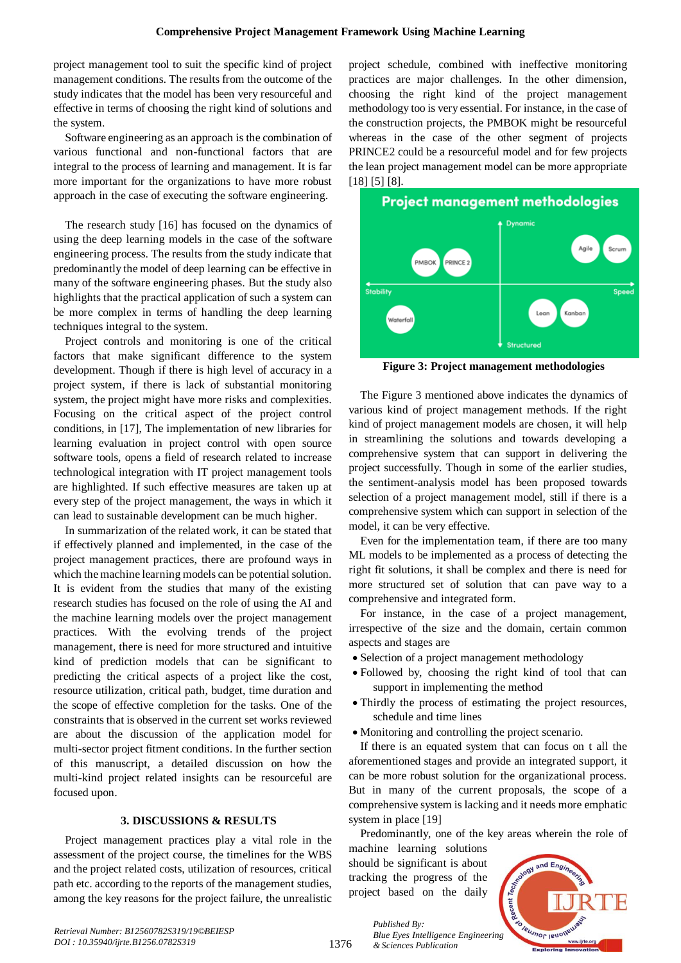project management tool to suit the specific kind of project management conditions. The results from the outcome of the study indicates that the model has been very resourceful and effective in terms of choosing the right kind of solutions and the system.

Software engineering as an approach is the combination of various functional and non-functional factors that are integral to the process of learning and management. It is far more important for the organizations to have more robust approach in the case of executing the software engineering.

The research study [16] has focused on the dynamics of using the deep learning models in the case of the software engineering process. The results from the study indicate that predominantly the model of deep learning can be effective in many of the software engineering phases. But the study also highlights that the practical application of such a system can be more complex in terms of handling the deep learning techniques integral to the system.

Project controls and monitoring is one of the critical factors that make significant difference to the system development. Though if there is high level of accuracy in a project system, if there is lack of substantial monitoring system, the project might have more risks and complexities. Focusing on the critical aspect of the project control conditions, in [17], The implementation of new libraries for learning evaluation in project control with open source software tools, opens a field of research related to increase technological integration with IT project management tools are highlighted. If such effective measures are taken up at every step of the project management, the ways in which it can lead to sustainable development can be much higher.

In summarization of the related work, it can be stated that if effectively planned and implemented, in the case of the project management practices, there are profound ways in which the machine learning models can be potential solution. It is evident from the studies that many of the existing research studies has focused on the role of using the AI and the machine learning models over the project management practices. With the evolving trends of the project management, there is need for more structured and intuitive kind of prediction models that can be significant to predicting the critical aspects of a project like the cost, resource utilization, critical path, budget, time duration and the scope of effective completion for the tasks. One of the constraints that is observed in the current set works reviewed are about the discussion of the application model for multi-sector project fitment conditions. In the further section of this manuscript, a detailed discussion on how the multi-kind project related insights can be resourceful are focused upon.

# **3. DISCUSSIONS & RESULTS**

Project management practices play a vital role in the assessment of the project course, the timelines for the WBS and the project related costs, utilization of resources, critical path etc. according to the reports of the management studies, among the key reasons for the project failure, the unrealistic project schedule, combined with ineffective monitoring practices are major challenges. In the other dimension, choosing the right kind of the project management methodology too is very essential. For instance, in the case of the construction projects, the PMBOK might be resourceful whereas in the case of the other segment of projects PRINCE2 could be a resourceful model and for few projects the lean project management model can be more appropriate [18] [5] [8].



**Figure 3: Project management methodologies**

The Figure 3 mentioned above indicates the dynamics of various kind of project management methods. If the right kind of project management models are chosen, it will help in streamlining the solutions and towards developing a comprehensive system that can support in delivering the project successfully. Though in some of the earlier studies, the sentiment-analysis model has been proposed towards selection of a project management model, still if there is a comprehensive system which can support in selection of the model, it can be very effective.

Even for the implementation team, if there are too many ML models to be implemented as a process of detecting the right fit solutions, it shall be complex and there is need for more structured set of solution that can pave way to a comprehensive and integrated form.

For instance, in the case of a project management, irrespective of the size and the domain, certain common aspects and stages are

- Selection of a project management methodology
- Followed by, choosing the right kind of tool that can support in implementing the method
- Thirdly the process of estimating the project resources, schedule and time lines
- Monitoring and controlling the project scenario.

If there is an equated system that can focus on t all the aforementioned stages and provide an integrated support, it can be more robust solution for the organizational process. But in many of the current proposals, the scope of a comprehensive system is lacking and it needs more emphatic system in place [19]

Predominantly, one of the key areas wherein the role of

machine learning solutions should be significant is about tracking the progress of the project based on the daily



1376